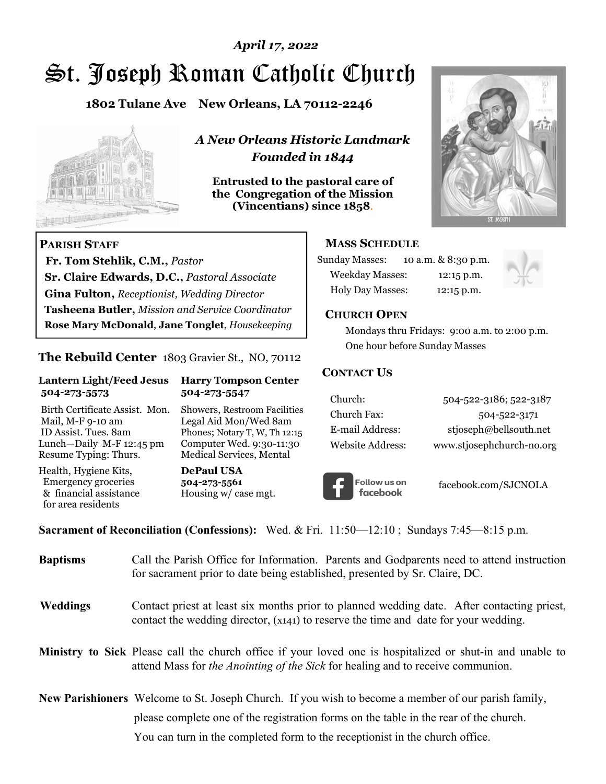# St. Joseph Roman Catholic Church *April 17, 2022*

**1802 Tulane Ave New Orleans, LA 70112-2246**



 **Fr. Tom Stehlik, C.M.,** *Pastor* 

**Sr. Claire Edwards, D.C.,** *Pastoral Associate* **Gina Fulton,** *Receptionist, Wedding Director* 

**Tasheena Butler,** *Mission and Service Coordinator* **Rose Mary McDonald**, **Jane Tonglet**, *Housekeeping*

**The Rebuild Center** 1803 Gravier St., NO, 70112

**Lantern Light/Feed Jesus Harry Tompson Center** 

Birth Certificate Assist. Mon. Showers, Restroom Facilities Mail, M-F 9-10 am Legal Aid Mon/Wed 8am ID Assist. Tues. 8am Phones; Notary T, W, Th 12:15 Lunch—Daily M-F 12:45 pm Computer Wed. 9:30-11:30 Resume Typing: Thurs. Medical Services, Mental

 **504-273-5573 504-273-5547** 

Health, Hygiene Kits, **DePaul USA**  Emergency groceries **504-273-5561**<br>& financial assistance **Housing w/** ca

**PARISH STAFF**

for area residents

*A New Orleans Historic Landmark Founded in 1844* 

**Entrusted to the pastoral care of the Congregation of the Mission (Vincentians) since 1858**.



#### **MASS SCHEDULE**

| <b>Sunday Masses:</b>  | 10 a.m. & 8:30 p.m. |
|------------------------|---------------------|
| <b>Weekday Masses:</b> | $12:15$ p.m.        |
| Holy Day Masses:       | 12:15 p.m.          |



#### **CHURCH OPEN**

 Mondays thru Fridays: 9:00 a.m. to 2:00 p.m. One hour before Sunday Masses

#### **CONTACT US**

| Church:          | 504-522-3186; 522-3187    |
|------------------|---------------------------|
| Church Fax:      | 504-522-3171              |
| E-mail Address:  | stjoseph@bellsouth.net    |
| Website Address: | www.stjosephchurch-no.org |



facebook.com/SJCNOLA

**Sacrament of Reconciliation (Confessions):** Wed. & Fri. 11:50—12:10 ; Sundays 7:45—8:15 p.m.

Housing w/ case mgt.

| <b>Baptisms</b> | Call the Parish Office for Information. Parents and Godparents need to attend instruction<br>for sacrament prior to date being established, presented by Sr. Claire, DC.                            |
|-----------------|-----------------------------------------------------------------------------------------------------------------------------------------------------------------------------------------------------|
| Weddings        | Contact priest at least six months prior to planned wedding date. After contacting priest,<br>contact the wedding director, (x141) to reserve the time and date for your wedding.                   |
|                 | <b>Ministry to Sick</b> Please call the church office if your loved one is hospitalized or shut-in and unable to<br>attend Mass for the Anointing of the Sick for healing and to receive communion. |
|                 | <b>New Parishioners</b> Welcome to St. Joseph Church. If you wish to become a member of our parish family,                                                                                          |
|                 | please complete one of the registration forms on the table in the rear of the church.                                                                                                               |
|                 | You can turn in the completed form to the receptionist in the church office.                                                                                                                        |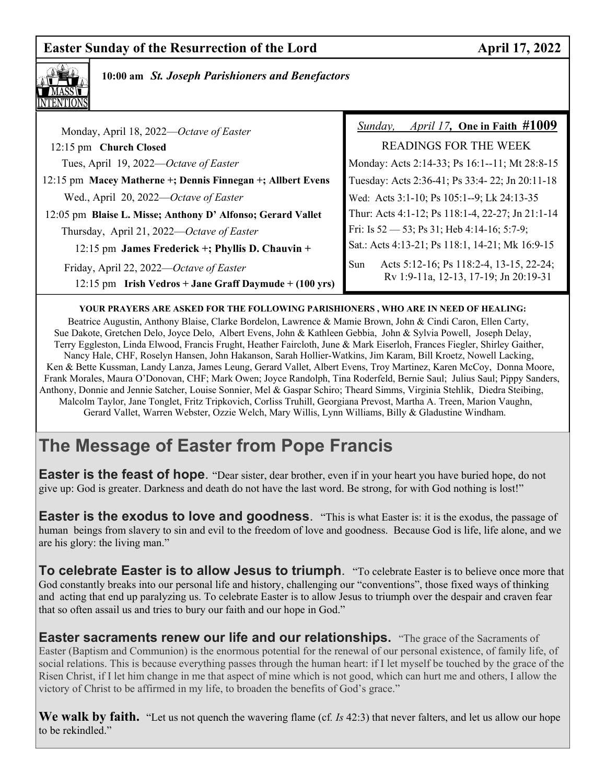## **Easter Sunday of the Resurrection of the Lord April 17, 2022**



 **10:00 am** *St. Joseph Parishioners and Benefactors*

| Monday, April 18, 2022—Octave of Easter                                                                     | April 17, One in Faith #1009<br>Sunday,                                                 |
|-------------------------------------------------------------------------------------------------------------|-----------------------------------------------------------------------------------------|
| 12:15 pm Church Closed                                                                                      | <b>READINGS FOR THE WEEK</b>                                                            |
| Tues, April 19, 2022—Octave of Easter                                                                       | Monday: Acts 2:14-33; Ps 16:1--11; Mt 28:8-15                                           |
| 12:15 pm Macey Matherne +; Dennis Finnegan +; Allbert Evens                                                 | Tuesday: Acts 2:36-41; Ps 33:4-22; Jn 20:11-18                                          |
| Wed., April 20, 2022-Octave of Easter                                                                       | Wed: Acts 3:1-10; Ps 105:1--9; Lk 24:13-35                                              |
| 12:05 pm Blaise L. Misse; Anthony D' Alfonso; Gerard Vallet                                                 | Thur: Acts 4:1-12; Ps 118:1-4, 22-27; Jn 21:1-14                                        |
| Thursday, April 21, 2022—Octave of Easter                                                                   | Fri: Is $52 - 53$ ; Ps 31; Heb 4:14-16; 5:7-9;                                          |
| 12:15 pm James Frederick +; Phyllis D. Chauvin +                                                            | Sat.: Acts 4:13-21; Ps 118:1, 14-21; Mk 16:9-15                                         |
| Friday, April 22, 2022—Octave of Easter<br>$12:15 \text{ pm}$ Irish Vedros + Jane Graff Daymude + (100 yrs) | Acts 5:12-16; Ps 118:2-4, 13-15, 22-24;<br>Sun<br>Rv 1:9-11a, 12-13, 17-19; Jn 20:19-31 |

#### **YOUR PRAYERS ARE ASKED FOR THE FOLLOWING PARISHIONERS , WHO ARE IN NEED OF HEALING:**

 Beatrice Augustin, Anthony Blaise, Clarke Bordelon, Lawrence & Mamie Brown, John & Cindi Caron, Ellen Carty, Sue Dakote, Gretchen Delo, Joyce Delo, Albert Evens, John & Kathleen Gebbia, John & Sylvia Powell, Joseph Delay, Terry Eggleston, Linda Elwood, Francis Frught, Heather Faircloth, June & Mark Eiserloh, Frances Fiegler, Shirley Gaither, Nancy Hale, CHF, Roselyn Hansen, John Hakanson, Sarah Hollier-Watkins, Jim Karam, Bill Kroetz, Nowell Lacking, Ken & Bette Kussman, Landy Lanza, James Leung, Gerard Vallet, Albert Evens, Troy Martinez, Karen McCoy, Donna Moore, Frank Morales, Maura O'Donovan, CHF; Mark Owen; Joyce Randolph, Tina Roderfeld, Bernie Saul; Julius Saul; Pippy Sanders, Anthony, Donnie and Jennie Satcher, Louise Sonnier, Mel & Gaspar Schiro; Theard Simms, Virginia Stehlik, Diedra Steibing, Malcolm Taylor, Jane Tonglet, Fritz Tripkovich, Corliss Truhill, Georgiana Prevost, Martha A. Treen, Marion Vaughn, Gerard Vallet, Warren Webster, Ozzie Welch, Mary Willis, Lynn Williams, Billy & Gladustine Windham.

## **The Message of Easter from Pope Francis**

**Easter is the feast of hope.** "Dear sister, dear brother, even if in your heart you have buried hope, do not give up: God is greater. Darkness and death do not have the last word. Be strong, for with God nothing is lost!"

**Easter is the exodus to love and goodness**. "This is what Easter is: it is the exodus, the passage of human beings from slavery to sin and evil to the freedom of love and goodness. Because God is life, life alone, and we are his glory: the living man."

**To celebrate Easter is to allow Jesus to triumph**. "To celebrate Easter is to believe once more that God constantly breaks into our personal life and history, challenging our "conventions", those fixed ways of thinking and acting that end up paralyzing us. To celebrate Easter is to allow Jesus to triumph over the despair and craven fear that so often assail us and tries to bury our faith and our hope in God."

**Easter sacraments renew our life and our relationships.** "The grace of the Sacraments of Easter (Baptism and Communion) is the enormous potential for the renewal of our personal existence, of family life, of social relations. This is because everything passes through the human heart: if I let myself be touched by the grace of the Risen Christ, if I let him change in me that aspect of mine which is not good, which can hurt me and others, I allow the victory of Christ to be affirmed in my life, to broaden the benefits of God's grace."

**We walk by faith.** "Let us not quench the wavering flame (cf*. Is* 42:3) that never falters, and let us allow our hope to be rekindled."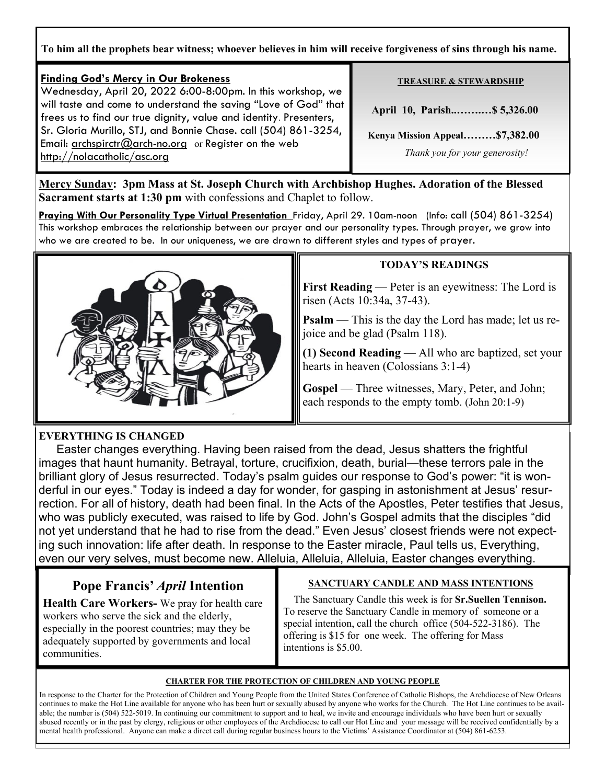**To him all the prophets bear witness; whoever believes in him will receive forgiveness of sins through his name.** 

#### **Finding God's Mercy in Our Brokeness** Wednesday, April 20, 2022 6:00-8:00pm. In this workshop, we will taste and come to understand the saving "Love of God" that frees us to find our true dignity, value and identity. Presenters, Sr. Gloria Murillo, STJ, and Bonnie Chase. call (504) 861-3254, Email: archspirctr $@$  arch-no.org or Register on the web http://nolacatholic/asc.org

#### **TREASURE & STEWARDSHIP**

 **April 10, Parish..…….…\$ 5,326.00** 

 **Kenya Mission Appeal………\$7,382.00** 

 *Thank you for your generosity!* 

**Mercy Sunday: 3pm Mass at St. Joseph Church with Archbishop Hughes. Adoration of the Blessed Sacrament starts at 1:30 pm** with confessions and Chaplet to follow.

**Praying With Our Personality Type Virtual Presentation** Friday, April 29. 10am-noon (Info: call (504) 861-3254) This workshop embraces the relationship between our prayer and our personality types. Through prayer, we grow into who we are created to be. In our uniqueness, we are drawn to different styles and types of prayer.



#### **TODAY'S READINGS**

**First Reading** — Peter is an eyewitness: The Lord is risen (Acts 10:34a, 37-43).

**Psalm** — This is the day the Lord has made; let us rejoice and be glad (Psalm 118).

**(1) Second Reading** — All who are baptized, set your hearts in heaven (Colossians 3:1-4)

Gospel — Three witnesses, Mary, Peter, and John; each responds to the empty tomb. (John 20:1-9)

#### **EVERYTHING IS CHANGED**

*—* 

 Easter changes everything. Having been raised from the dead, Jesus shatters the frightful images that haunt humanity. Betrayal, torture, crucifixion, death, burial—these terrors pale in the brilliant glory of Jesus resurrected. Today's psalm guides our response to God's power: "it is wonderful in our eyes." Today is indeed a day for wonder, for gasping in astonishment at Jesus' resurrection. For all of history, death had been final. In the Acts of the Apostles, Peter testifies that Jesus, who was publicly executed, was raised to life by God. John's Gospel admits that the disciples "did not yet understand that he had to rise from the dead." Even Jesus' closest friends were not expecting such innovation: life after death. In response to the Easter miracle, Paul tells us, Everything, even our very selves, must become new. Alleluia, Alleluia, Alleluia, Easter changes everything.

## **Pope Francis'** *April* **Intention**

**Health Care Workers-** We pray for health care workers who serve the sick and the elderly, especially in the poorest countries; may they be adequately supported by governments and local communities.

#### **SANCTUARY CANDLE AND MASS INTENTIONS**

 The Sanctuary Candle this week is for **Sr.Suellen Tennison.**  To reserve the Sanctuary Candle in memory of someone or a special intention, call the church office (504-522-3186). The offering is \$15 for one week. The offering for Mass intentions is \$5.00.

#### **CHARTER FOR THE PROTECTION OF CHILDREN AND YOUNG PEOPLE**

In response to the Charter for the Protection of Children and Young People from the United States Conference of Catholic Bishops, the Archdiocese of New Orleans continues to make the Hot Line available for anyone who has been hurt or sexually abused by anyone who works for the Church. The Hot Line continues to be available; the number is (504) 522-5019. In continuing our commitment to support and to heal, we invite and encourage individuals who have been hurt or sexually abused recently or in the past by clergy, religious or other employees of the Archdiocese to call our Hot Line and your message will be received confidentially by a mental health professional. Anyone can make a direct call during regular business hours to the Victims' Assistance Coordinator at (504) 861-6253.